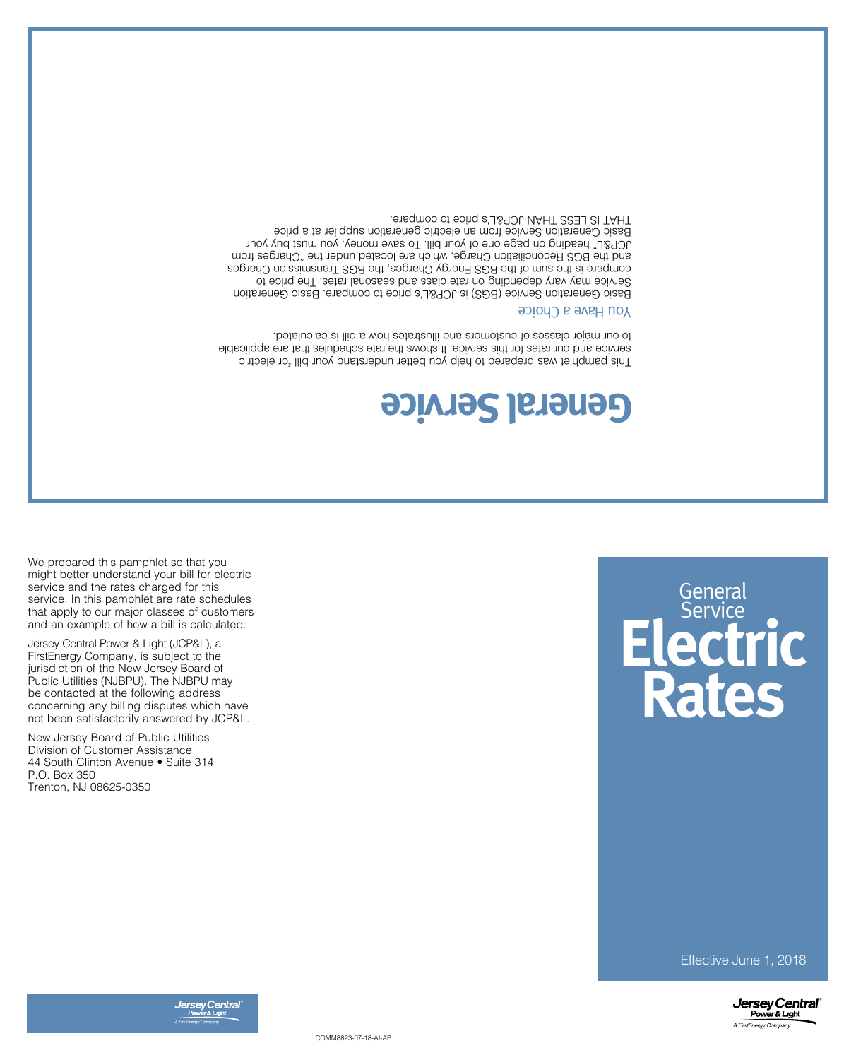

COMM8823-07-18-AI-AP



Effective June 1, 2018

New Jersey Board of Public Utilities Division of Customer Assistance 44 South Clinton Avenue • Suite 314 P.O. Box 350 Trenton, NJ 08625-0350

Jersey Central Power & Light (JCP&L), a FirstEnergy Company, is subject to the jurisdiction of the New Jersey Board of Public Utilities (NJBPU). The NJBPU may be contacted at the following address concerning any billing disputes which have not been satisfactorily answered by JCP&L.

We prepared this pamphlet so that you might better understand your bill for electric service and the rates charged for this service. In this pamphlet are rate schedules that apply to our major classes of customers and an example of how a bill is calculated.

## **Electric Rates General** Service

## **General Service**

This pamphlet was prepared to help you better understand your bill for electric service and our rates for this service. It shows the rate schedules that are applicable to our major classes of customers and illustrates how a bill is calculated.

## **Nou Have a Choice**

Basic Generation Service (BGS) is JCP&L's price to compare. Basic Generation Service may vary depending on rate class and seasonal rates. The price to compare is the sum of the BGS Energy Charges, the BGS Transmission Charges and the BGS Reconciliation Charge, which are located under the "Charges from JCP&L" heading on page one of your bill. To save money, you must buy your Basic Generation Service from an electric generation supplier at a price THAT IS LESS THAN JCP&L's price to compare.